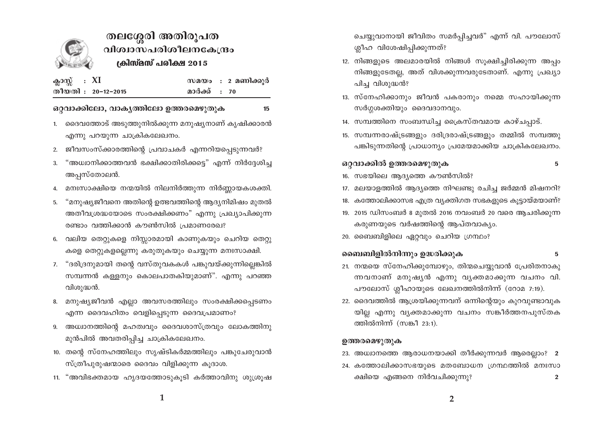

# തലശ്ശേരി അതിരൂപത വിശ്വാസപരിശീലനകേന്ദ്രം ക്രിസ്മസ് പരിക്ഷ 2015

15

| ക്ലാസ്സ് : XI |                    |              | സമയം : 2 മണിക്കുർ |
|---------------|--------------------|--------------|-------------------|
|               | തീയതി : 20–12–2015 | മാർക്ക് : 70 |                   |

#### ഒറ്റവാക്കിലോ, വാകൃത്തിലോ ഉത്തരമെഴുതുക

- 1. ദൈവത്തോട് അടുത്തുനിൽക്കുന്ന മനുഷ്യനാണ് കൃഷിക്കാരൻ എന്നു പറയുന്ന ചാക്രികലേഖനം.
- 2. ജീവസംസ്ക്കാരത്തിന്റെ പ്രവാചകർ എന്നറിയപ്പെടുന്നവർ?
- "അധ്വാനിക്കാത്തവൻ ഭക്ഷിക്കാതിരിക്കട്ടെ" എന്ന് നിർദ്ദേശിച്ച  $3.$ അപ്പസ്തോലൻ.
- 4. മനഃസാക്ഷിയെ നന്മയിൽ നിലനിർത്തുന്ന നിർണ്ണായകശക്തി.
- 5. "മനുഷ്യജീവനെ അതിന്റെ ഉത്ഭവത്തിന്റെ ആദ്യനിമിഷം മുതൽ അതീവശ്രദ്ധയോടെ സംരക്ഷിക്കണം" എന്നു പ്രഖ്യാപിക്കുന്ന രണ്ടാം വത്തിക്കാൻ കൗൺസിൽ പ്രമാണരേഖ?
- 6. വലിയ തെറ്റുകളെ നിസ്സാരമായി കാണുകയും ചെറിയ തെറ്റു കളെ തെറ്റുകളല്ലെന്നു കരുതുകയും ചെയ്യുന്ന മനഃസാക്ഷി.
- 7. "ദരിദ്രനുമായി തന്റെ വസ്തുവകകൾ പങ്കുവയ്ക്കുന്നില്ലെങ്കിൽ സമ്പന്നൻ കള്ളനും കൊലപാതകിയുമാണ്". എന്നു പറഞ്ഞ വിശുദ്ധൻ.
- 8. മനുഷ്യജീവൻ എല്ലാ അവസരത്തിലും സംരക്ഷിക്കപ്പെടണം എന്ന ദൈവഹിതം വെളിപ്പെടുന്ന ദൈവപ്രമാണം?
- 9. അധ്വാനത്തിന്റെ മഹത്വവും ദൈവശാസ്ത്രവും ലോകത്തിനു മുൻപിൽ അവതരിപ്പിച്ച ചാക്രികലേഖനം.
- 10. തന്റെ സ്നേഹത്തിലും സൃഷ്ടികർമ്മത്തിലും പങ്കുചേരുവാൻ സ്ത്രീപുരുഷന്മാരെ ദൈവം വിളിക്കുന്ന കുദാശ.
- 11. "അവിഭക്തമായ ഹൃദയത്തോടുകുടി കർത്താവിനു ശുശ്രുഷ

ചെയ്യുവാനായി ജീവിതം സമർപ്പിച്ചവർ" എന്ന് വി. പൗലോസ് ശ്ലീഹ വിശേഷിപ്പിക്കുന്നത്?

- 12. നിങ്ങളുടെ അലമാരയിൽ നിങ്ങൾ സുക്ഷിച്ചിരിക്കുന്ന അപ്പം നിങ്ങളുടേതല്ല, അത് വിശക്കുന്നവരുടേതാണ്. എന്നു പ്രഖ്യാ പിച്ച വിശുദ്ധൻ?
- 13. സ്നേഹിക്കാനും ജീവൻ പകരാനും നമ്മെ സഹായിക്കുന്ന സർഗ്ഗശക്തിയും ദൈവദാനവും.
- 14. സമ്പത്തിനെ സംബന്ധിച്ച ക്രൈസ്തവമായ കാഴ്ചപ്പാട്.
- 15. സമ്പന്നരാഷ്ട്രങ്ങളും ദരിദ്രരാഷ്ട്രങ്ങളും തമ്മിൽ സമ്പത്തു പങ്കിടുന്നതിന്റെ പ്രാധാന്യം പ്രമേയമാക്കിയ ചാക്രികലേഖനം.

## ഒറ്റവാക്കിൽ ഉത്തരമെഴുതുക

 $5\phantom{.0}$ 

- 16. സഭയിലെ ആദ്യത്തെ കൗൺസിൽ?
- 17. മലയാളത്തിൽ ആദ്യത്തെ നിഘണ്ടു രചിച്ച ജർമ്മൻ മിഷനറി?
- 18. കത്തോലിക്കാസഭ എത്ര വ്യക്തിഗത സഭകളുടെ കൂട്ടായ്മയാണ്?
- 19. 2015 ഡിസംബർ 8 മുതൽ 2016 നവംബർ 20 വരെ ആചരിക്കുന്ന കരുണയുടെ വർഷത്തിന്റെ ആപ്തവാക്യം.
- 20. ബൈബിളിലെ ഏറ്റവും ചെറിയ ഗ്രന്ഥം?

#### ബൈബിളിൽനിന്നും ഉദ്ധരിക്കുക 5

- 21. നന്മയെ സ്നേഹിക്കുമ്പോഴും, തിന്മചെയ്യുവാൻ പ്രേരിതനാകു ന്നവനാണ് മനുഷ്യൻ എന്നു വ്യക്തമാക്കുന്ന വചനം വി. പൗലോസ് ശ്ലീഹായുടെ ലേഖനത്തിൽനിന്ന് (റോമ 7:19).
- 22. ദൈവത്തിൽ ആശ്രയിക്കുന്നവന് ഒന്നിന്റെയും കുറവുണ്ടാവുക യില്ല എന്നു വ്യക്തമാക്കുന്ന വചനം സങ്കീർത്തനപുസ്തക ത്തിൽനിന്ന് (സങ്കീ 23:1).

### ഉത്തരമെഴുതുക

- 23. അധ്വാനത്തെ ആരാധനയാക്കി തീർക്കുന്നവർ ആരെല്ലാം? 2
- 24. കത്തോലിക്കാസഭയുടെ മതബോധന ഗ്രന്ഥത്തിൽ മനഃസാ ക്ഷിയെ എങ്ങനെ നിർവചിക്കുന്നു?  $\overline{2}$